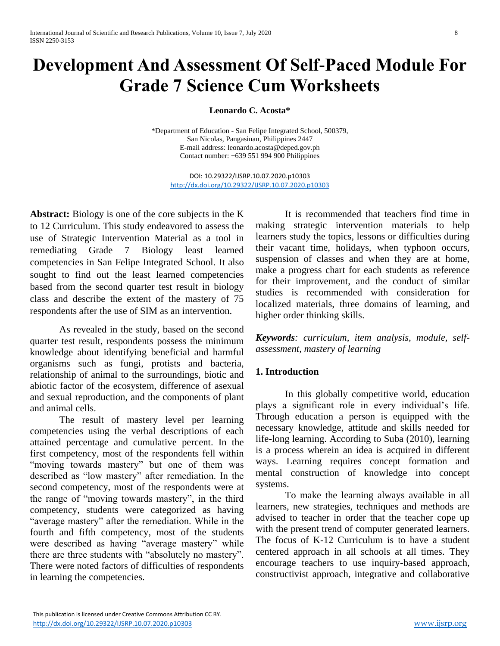# **Development And Assessment Of Self-Paced Module For Grade 7 Science Cum Worksheets**

**Leonardo C. Acosta\***

\*Department of Education - San Felipe Integrated School, 500379, San Nicolas, Pangasinan, Philippines 2447 E-mail address: leonard[o.acosta@deped.gov.ph](mailto:acosta@deped.gov.ph) Contact number: +639 551 994 900 Philippines

DOI: 10.29322/IJSRP.10.07.2020.p10303 <http://dx.doi.org/10.29322/IJSRP.10.07.2020.p10303>

**Abstract:** Biology is one of the core subjects in the K to 12 Curriculum. This study endeavored to assess the use of Strategic Intervention Material as a tool in remediating Grade 7 Biology least learned competencies in San Felipe Integrated School. It also sought to find out the least learned competencies based from the second quarter test result in biology class and describe the extent of the mastery of 75 respondents after the use of SIM as an intervention.

As revealed in the study, based on the second quarter test result, respondents possess the minimum knowledge about identifying beneficial and harmful organisms such as fungi, protists and bacteria, relationship of animal to the surroundings, biotic and abiotic factor of the ecosystem, difference of asexual and sexual reproduction, and the components of plant and animal cells.

The result of mastery level per learning competencies using the verbal descriptions of each attained percentage and cumulative percent. In the first competency, most of the respondents fell within "moving towards mastery" but one of them was described as "low mastery" after remediation. In the second competency, most of the respondents were at the range of "moving towards mastery", in the third competency, students were categorized as having "average mastery" after the remediation. While in the fourth and fifth competency, most of the students were described as having "average mastery" while there are three students with "absolutely no mastery". There were noted factors of difficulties of respondents in learning the competencies.

It is recommended that teachers find time in making strategic intervention materials to help learners study the topics, lessons or difficulties during their vacant time, holidays, when typhoon occurs, suspension of classes and when they are at home, make a progress chart for each students as reference for their improvement, and the conduct of similar studies is recommended with consideration for localized materials, three domains of learning, and higher order thinking skills.

*Keywords: curriculum, item analysis, module, selfassessment, mastery of learning*

## **1. Introduction**

In this globally competitive world, education plays a significant role in every individual's life. Through education a person is equipped with the necessary knowledge, attitude and skills needed for life-long learning. According to Suba (2010), learning is a process wherein an idea is acquired in different ways. Learning requires concept formation and mental construction of knowledge into concept systems.

To make the learning always available in all learners, new strategies, techniques and methods are advised to teacher in order that the teacher cope up with the present trend of computer generated learners. The focus of K-12 Curriculum is to have a student centered approach in all schools at all times. They encourage teachers to use inquiry-based approach, constructivist approach, integrative and collaborative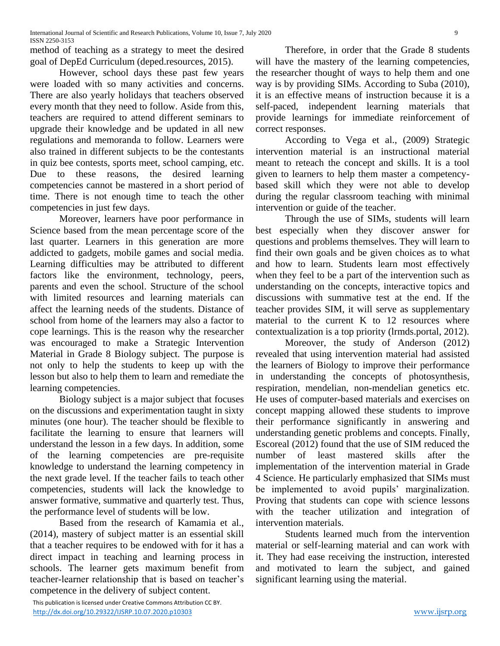method of teaching as a strategy to meet the desired goal of DepEd Curriculum (deped.resources, 2015).

However, school days these past few years were loaded with so many activities and concerns. There are also yearly holidays that teachers observed every month that they need to follow. Aside from this, teachers are required to attend different seminars to upgrade their knowledge and be updated in all new regulations and memoranda to follow. Learners were also trained in different subjects to be the contestants in quiz bee contests, sports meet, school camping, etc. Due to these reasons, the desired learning competencies cannot be mastered in a short period of time. There is not enough time to teach the other competencies in just few days.

Moreover, learners have poor performance in Science based from the mean percentage score of the last quarter. Learners in this generation are more addicted to gadgets, mobile games and social media. Learning difficulties may be attributed to different factors like the environment, technology, peers, parents and even the school. Structure of the school with limited resources and learning materials can affect the learning needs of the students. Distance of school from home of the learners may also a factor to cope learnings. This is the reason why the researcher was encouraged to make a Strategic Intervention Material in Grade 8 Biology subject. The purpose is not only to help the students to keep up with the lesson but also to help them to learn and remediate the learning competencies.

Biology subject is a major subject that focuses on the discussions and experimentation taught in sixty minutes (one hour). The teacher should be flexible to facilitate the learning to ensure that learners will understand the lesson in a few days. In addition, some of the learning competencies are pre-requisite knowledge to understand the learning competency in the next grade level. If the teacher fails to teach other competencies, students will lack the knowledge to answer formative, summative and quarterly test. Thus, the performance level of students will be low.

Based from the research of Kamamia et al., (2014), mastery of subject matter is an essential skill that a teacher requires to be endowed with for it has a direct impact in teaching and learning process in schools. The learner gets maximum benefit from teacher-learner relationship that is based on teacher's competence in the delivery of subject content.

Therefore, in order that the Grade 8 students will have the mastery of the learning competencies, the researcher thought of ways to help them and one way is by providing SIMs. According to Suba (2010), it is an effective means of instruction because it is a self-paced, independent learning materials that provide learnings for immediate reinforcement of correct responses.

According to Vega et al., (2009) Strategic intervention material is an instructional material meant to reteach the concept and skills. It is a tool given to learners to help them master a competencybased skill which they were not able to develop during the regular classroom teaching with minimal intervention or guide of the teacher.

Through the use of SIMs, students will learn best especially when they discover answer for questions and problems themselves. They will learn to find their own goals and be given choices as to what and how to learn. Students learn most effectively when they feel to be a part of the intervention such as understanding on the concepts, interactive topics and discussions with summative test at the end. If the teacher provides SIM, it will serve as supplementary material to the current K to 12 resources where contextualization is a top priority (lrmds.portal, 2012).

Moreover, the study of Anderson (2012) revealed that using intervention material had assisted the learners of Biology to improve their performance in understanding the concepts of photosynthesis, respiration, mendelian, non-mendelian genetics etc. He uses of computer-based materials and exercises on concept mapping allowed these students to improve their performance significantly in answering and understanding genetic problems and concepts. Finally, Escoreal (2012) found that the use of SIM reduced the number of least mastered skills after the implementation of the intervention material in Grade 4 Science. He particularly emphasized that SIMs must be implemented to avoid pupils' marginalization. Proving that students can cope with science lessons with the teacher utilization and integration of intervention materials.

Students learned much from the intervention material or self-learning material and can work with it. They had ease receiving the instruction, interested and motivated to learn the subject, and gained significant learning using the material.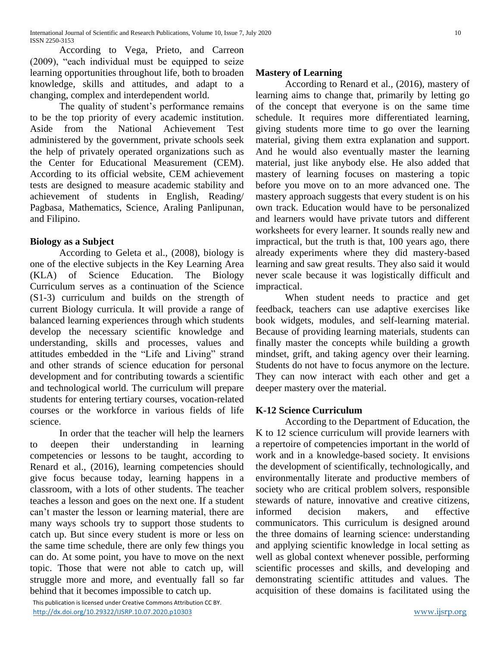According to Vega, Prieto, and Carreon (2009), "each individual must be equipped to seize learning opportunities throughout life, both to broaden knowledge, skills and attitudes, and adapt to a changing, complex and interdependent world.

The quality of student's performance remains to be the top priority of every academic institution. Aside from the National Achievement Test administered by the government, private schools seek the help of privately operated organizations such as the Center for Educational Measurement (CEM). According to its official website, CEM achievement tests are designed to measure academic stability and achievement of students in English, Reading/ Pagbasa, Mathematics, Science, Araling Panlipunan, and Filipino.

# **Biology as a Subject**

According to Geleta et al., (2008), biology is one of the elective subjects in the Key Learning Area (KLA) of Science Education. The Biology Curriculum serves as a continuation of the Science (S1-3) curriculum and builds on the strength of current Biology curricula. It will provide a range of balanced learning experiences through which students develop the necessary scientific knowledge and understanding, skills and processes, values and attitudes embedded in the "Life and Living" strand and other strands of science education for personal development and for contributing towards a scientific and technological world. The curriculum will prepare students for entering tertiary courses, vocation-related courses or the workforce in various fields of life science.

In order that the teacher will help the learners to deepen their understanding in learning competencies or lessons to be taught, according to Renard et al., (2016), learning competencies should give focus because today, learning happens in a classroom, with a lots of other students. The teacher teaches a lesson and goes on the next one. If a student can't master the lesson or learning material, there are many ways schools try to support those students to catch up. But since every student is more or less on the same time schedule, there are only few things you can do. At some point, you have to move on the next topic. Those that were not able to catch up, will struggle more and more, and eventually fall so far behind that it becomes impossible to catch up.

 This publication is licensed under Creative Commons Attribution CC BY. <http://dx.doi.org/10.29322/IJSRP.10.07.2020.p10303> [www.ijsrp.org](http://ijsrp.org/)

## **Mastery of Learning**

According to Renard et al., (2016), mastery of learning aims to change that, primarily by letting go of the concept that everyone is on the same time schedule. It requires more differentiated learning, giving students more time to go over the learning material, giving them extra explanation and support. And he would also eventually master the learning material, just like anybody else. He also added that mastery of learning focuses on mastering a topic before you move on to an more advanced one. The mastery approach suggests that every student is on his own track. Education would have to be personalized and learners would have private tutors and different worksheets for every learner. It sounds really new and impractical, but the truth is that, 100 years ago, there already experiments where they did mastery-based learning and saw great results. They also said it would never scale because it was logistically difficult and impractical.

When student needs to practice and get feedback, teachers can use adaptive exercises like book widgets, modules, and self-learning material. Because of providing learning materials, students can finally master the concepts while building a growth mindset, grift, and taking agency over their learning. Students do not have to focus anymore on the lecture. They can now interact with each other and get a deeper mastery over the material.

# **K-12 Science Curriculum**

According to the Department of Education, the K to 12 science curriculum will provide learners with a repertoire of competencies important in the world of work and in a knowledge-based society. It envisions the development of scientifically, technologically, and environmentally literate and productive members of society who are critical problem solvers, responsible stewards of nature, innovative and creative citizens, informed decision makers, and effective communicators. This curriculum is designed around the three domains of learning science: understanding and applying scientific knowledge in local setting as well as global context whenever possible, performing scientific processes and skills, and developing and demonstrating scientific attitudes and values. The acquisition of these domains is facilitated using the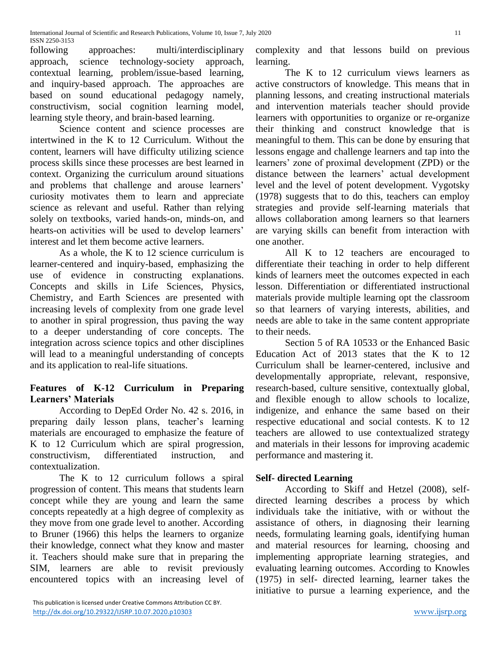following approaches: multi/interdisciplinary approach, science technology-society approach, contextual learning, problem/issue-based learning, and inquiry-based approach. The approaches are based on sound educational pedagogy namely, constructivism, social cognition learning model, learning style theory, and brain-based learning.

Science content and science processes are intertwined in the K to 12 Curriculum. Without the content, learners will have difficulty utilizing science process skills since these processes are best learned in context. Organizing the curriculum around situations and problems that challenge and arouse learners' curiosity motivates them to learn and appreciate science as relevant and useful. Rather than relying solely on textbooks, varied hands-on, minds-on, and hearts-on activities will be used to develop learners' interest and let them become active learners.

As a whole, the K to 12 science curriculum is learner-centered and inquiry-based, emphasizing the use of evidence in constructing explanations. Concepts and skills in Life Sciences, Physics, Chemistry, and Earth Sciences are presented with increasing levels of complexity from one grade level to another in spiral progression, thus paving the way to a deeper understanding of core concepts. The integration across science topics and other disciplines will lead to a meaningful understanding of concepts and its application to real-life situations.

# **Features of K-12 Curriculum in Preparing Learners' Materials**

According to DepEd Order No. 42 s. 2016, in preparing daily lesson plans, teacher's learning materials are encouraged to emphasize the feature of K to 12 Curriculum which are spiral progression, constructivism, differentiated instruction, and contextualization.

The K to 12 curriculum follows a spiral progression of content. This means that students learn concept while they are young and learn the same concepts repeatedly at a high degree of complexity as they move from one grade level to another. According to Bruner (1966) this helps the learners to organize their knowledge, connect what they know and master it. Teachers should make sure that in preparing the SIM, learners are able to revisit previously encountered topics with an increasing level of complexity and that lessons build on previous learning.

The K to 12 curriculum views learners as active constructors of knowledge. This means that in planning lessons, and creating instructional materials and intervention materials teacher should provide learners with opportunities to organize or re-organize their thinking and construct knowledge that is meaningful to them. This can be done by ensuring that lessons engage and challenge learners and tap into the learners' zone of proximal development (ZPD) or the distance between the learners' actual development level and the level of potent development. Vygotsky (1978) suggests that to do this, teachers can employ strategies and provide self-learning materials that allows collaboration among learners so that learners are varying skills can benefit from interaction with one another.

All K to 12 teachers are encouraged to differentiate their teaching in order to help different kinds of learners meet the outcomes expected in each lesson. Differentiation or differentiated instructional materials provide multiple learning opt the classroom so that learners of varying interests, abilities, and needs are able to take in the same content appropriate to their needs.

Section 5 of RA 10533 or the Enhanced Basic Education Act of 2013 states that the K to 12 Curriculum shall be learner-centered, inclusive and developmentally appropriate, relevant, responsive, research-based, culture sensitive, contextually global, and flexible enough to allow schools to localize, indigenize, and enhance the same based on their respective educational and social contests. K to 12 teachers are allowed to use contextualized strategy and materials in their lessons for improving academic performance and mastering it.

# **Self- directed Learning**

According to Skiff and Hetzel (2008), selfdirected learning describes a process by which individuals take the initiative, with or without the assistance of others, in diagnosing their learning needs, formulating learning goals, identifying human and material resources for learning, choosing and implementing appropriate learning strategies, and evaluating learning outcomes. According to Knowles (1975) in self- directed learning, learner takes the initiative to pursue a learning experience, and the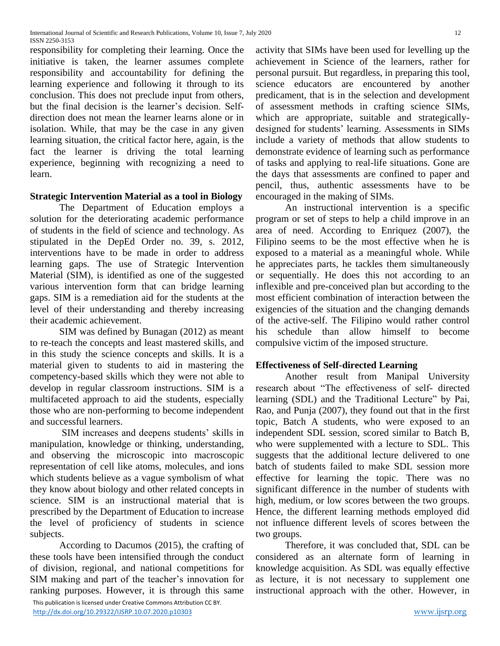International Journal of Scientific and Research Publications, Volume 10, Issue 7, July 2020 12 ISSN 2250-3153

responsibility for completing their learning. Once the initiative is taken, the learner assumes complete responsibility and accountability for defining the learning experience and following it through to its conclusion. This does not preclude input from others, but the final decision is the learner's decision. Selfdirection does not mean the learner learns alone or in isolation. While, that may be the case in any given learning situation, the critical factor here, again, is the fact the learner is driving the total learning experience, beginning with recognizing a need to learn.

## **Strategic Intervention Material as a tool in Biology**

The Department of Education employs a solution for the deteriorating academic performance of students in the field of science and technology. As stipulated in the DepEd Order no. 39, s. 2012, interventions have to be made in order to address learning gaps. The use of Strategic Intervention Material (SIM), is identified as one of the suggested various intervention form that can bridge learning gaps. SIM is a remediation aid for the students at the level of their understanding and thereby increasing their academic achievement.

SIM was defined by Bunagan (2012) as meant to re-teach the concepts and least mastered skills, and in this study the science concepts and skills. It is a material given to students to aid in mastering the competency-based skills which they were not able to develop in regular classroom instructions. SIM is a multifaceted approach to aid the students, especially those who are non-performing to become independent and successful learners.

SIM increases and deepens students' skills in manipulation, knowledge or thinking, understanding, and observing the microscopic into macroscopic representation of cell like atoms, molecules, and ions which students believe as a vague symbolism of what they know about biology and other related concepts in science. SIM is an instructional material that is prescribed by the Department of Education to increase the level of proficiency of students in science subjects.

According to Dacumos (2015), the crafting of these tools have been intensified through the conduct of division, regional, and national competitions for SIM making and part of the teacher's innovation for ranking purposes. However, it is through this same activity that SIMs have been used for levelling up the achievement in Science of the learners, rather for personal pursuit. But regardless, in preparing this tool, science educators are encountered by another predicament, that is in the selection and development of assessment methods in crafting science SIMs, which are appropriate, suitable and strategicallydesigned for students' learning. Assessments in SIMs include a variety of methods that allow students to demonstrate evidence of learning such as performance of tasks and applying to real-life situations. Gone are the days that assessments are confined to paper and pencil, thus, authentic assessments have to be encouraged in the making of SIMs.

An instructional intervention is a specific program or set of steps to help a child improve in an area of need. According to Enriquez (2007), the Filipino seems to be the most effective when he is exposed to a material as a meaningful whole. While he appreciates parts, he tackles them simultaneously or sequentially. He does this not according to an inflexible and pre-conceived plan but according to the most efficient combination of interaction between the exigencies of the situation and the changing demands of the active-self. The Filipino would rather control his schedule than allow himself to become compulsive victim of the imposed structure.

## **Effectiveness of Self-directed Learning**

Another result from Manipal University research about "The effectiveness of self- directed learning (SDL) and the Traditional Lecture" by Pai, Rao, and Punja (2007), they found out that in the first topic, Batch A students, who were exposed to an independent SDL session, scored similar to Batch B, who were supplemented with a lecture to SDL. This suggests that the additional lecture delivered to one batch of students failed to make SDL session more effective for learning the topic. There was no significant difference in the number of students with high, medium, or low scores between the two groups. Hence, the different learning methods employed did not influence different levels of scores between the two groups.

Therefore, it was concluded that, SDL can be considered as an alternate form of learning in knowledge acquisition. As SDL was equally effective as lecture, it is not necessary to supplement one instructional approach with the other. However, in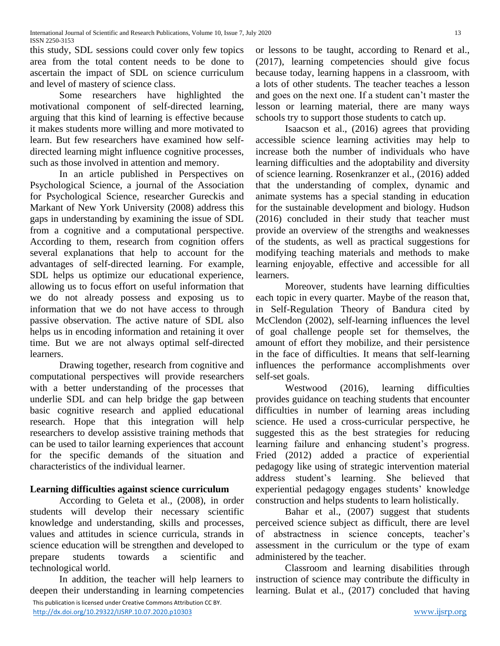this study, SDL sessions could cover only few topics area from the total content needs to be done to ascertain the impact of SDL on science curriculum and level of mastery of science class.

Some researchers have highlighted the motivational component of self-directed learning, arguing that this kind of learning is effective because it makes students more willing and more motivated to learn. But few researchers have examined how selfdirected learning might influence cognitive processes, such as those involved in attention and memory.

In an article published in Perspectives on Psychological Science, a journal of the Association for Psychological Science, researcher Gureckis and Markant of New York University (2008) address this gaps in understanding by examining the issue of SDL from a cognitive and a computational perspective. According to them, research from cognition offers several explanations that help to account for the advantages of self-directed learning. For example, SDL helps us optimize our educational experience, allowing us to focus effort on useful information that we do not already possess and exposing us to information that we do not have access to through passive observation. The active nature of SDL also helps us in encoding information and retaining it over time. But we are not always optimal self-directed learners.

Drawing together, research from cognitive and computational perspectives will provide researchers with a better understanding of the processes that underlie SDL and can help bridge the gap between basic cognitive research and applied educational research. Hope that this integration will help researchers to develop assistive training methods that can be used to tailor learning experiences that account for the specific demands of the situation and characteristics of the individual learner.

# **Learning difficulties against science curriculum**

According to Geleta et al., (2008), in order students will develop their necessary scientific knowledge and understanding, skills and processes, values and attitudes in science curricula, strands in science education will be strengthen and developed to prepare students towards a scientific and technological world.

 This publication is licensed under Creative Commons Attribution CC BY. In addition, the teacher will help learners to deepen their understanding in learning competencies or lessons to be taught, according to Renard et al., (2017), learning competencies should give focus because today, learning happens in a classroom, with a lots of other students. The teacher teaches a lesson and goes on the next one. If a student can't master the lesson or learning material, there are many ways schools try to support those students to catch up.

Isaacson et al., (2016) agrees that providing accessible science learning activities may help to increase both the number of individuals who have learning difficulties and the adoptability and diversity of science learning. Rosenkranzer et al., (2016) added that the understanding of complex, dynamic and animate systems has a special standing in education for the sustainable development and biology. Hudson (2016) concluded in their study that teacher must provide an overview of the strengths and weaknesses of the students, as well as practical suggestions for modifying teaching materials and methods to make learning enjoyable, effective and accessible for all learners.

Moreover, students have learning difficulties each topic in every quarter. Maybe of the reason that, in Self-Regulation Theory of Bandura cited by McClendon (2002), self-learning influences the level of goal challenge people set for themselves, the amount of effort they mobilize, and their persistence in the face of difficulties. It means that self-learning influences the performance accomplishments over self-set goals.

Westwood (2016), learning difficulties provides guidance on teaching students that encounter difficulties in number of learning areas including science. He used a cross-curricular perspective, he suggested this as the best strategies for reducing learning failure and enhancing student's progress. Fried (2012) added a practice of experiential pedagogy like using of strategic intervention material address student's learning. She believed that experiential pedagogy engages students' knowledge construction and helps students to learn holistically.

Bahar et al., (2007) suggest that students perceived science subject as difficult, there are level of abstractness in science concepts, teacher's assessment in the curriculum or the type of exam administered by the teacher.

Classroom and learning disabilities through instruction of science may contribute the difficulty in learning. Bulat et al., (2017) concluded that having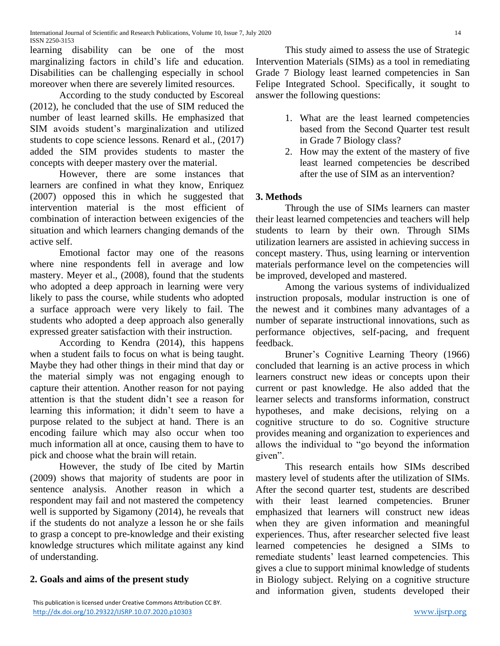learning disability can be one of the most marginalizing factors in child's life and education. Disabilities can be challenging especially in school moreover when there are severely limited resources.

According to the study conducted by Escoreal (2012), he concluded that the use of SIM reduced the number of least learned skills. He emphasized that SIM avoids student's marginalization and utilized students to cope science lessons. Renard et al., (2017) added the SIM provides students to master the concepts with deeper mastery over the material.

However, there are some instances that learners are confined in what they know, Enriquez (2007) opposed this in which he suggested that intervention material is the most efficient of combination of interaction between exigencies of the situation and which learners changing demands of the active self.

Emotional factor may one of the reasons where nine respondents fell in average and low mastery. Meyer et al., (2008), found that the students who adopted a deep approach in learning were very likely to pass the course, while students who adopted a surface approach were very likely to fail. The students who adopted a deep approach also generally expressed greater satisfaction with their instruction.

According to Kendra (2014), this happens when a student fails to focus on what is being taught. Maybe they had other things in their mind that day or the material simply was not engaging enough to capture their attention. Another reason for not paying attention is that the student didn't see a reason for learning this information; it didn't seem to have a purpose related to the subject at hand. There is an encoding failure which may also occur when too much information all at once, causing them to have to pick and choose what the brain will retain.

However, the study of Ibe cited by Martin (2009) shows that majority of students are poor in sentence analysis. Another reason in which a respondent may fail and not mastered the competency well is supported by Sigamony (2014), he reveals that if the students do not analyze a lesson he or she fails to grasp a concept to pre-knowledge and their existing knowledge structures which militate against any kind of understanding.

# **2. Goals and aims of the present study**

This study aimed to assess the use of Strategic Intervention Materials (SIMs) as a tool in remediating Grade 7 Biology least learned competencies in San Felipe Integrated School. Specifically, it sought to answer the following questions:

- 1. What are the least learned competencies based from the Second Quarter test result in Grade 7 Biology class?
- 2. How may the extent of the mastery of five least learned competencies be described after the use of SIM as an intervention?

# **3. Methods**

Through the use of SIMs learners can master their least learned competencies and teachers will help students to learn by their own. Through SIMs utilization learners are assisted in achieving success in concept mastery. Thus, using learning or intervention materials performance level on the competencies will be improved, developed and mastered.

Among the various systems of individualized instruction proposals, modular instruction is one of the newest and it combines many advantages of a number of separate instructional innovations, such as performance objectives, self-pacing, and frequent feedback.

Bruner's Cognitive Learning Theory (1966) concluded that learning is an active process in which learners construct new ideas or concepts upon their current or past knowledge. He also added that the learner selects and transforms information, construct hypotheses, and make decisions, relying on a cognitive structure to do so. Cognitive structure provides meaning and organization to experiences and allows the individual to "go beyond the information given".

This research entails how SIMs described mastery level of students after the utilization of SIMs. After the second quarter test, students are described with their least learned competencies. Bruner emphasized that learners will construct new ideas when they are given information and meaningful experiences. Thus, after researcher selected five least learned competencies he designed a SIMs to remediate students' least learned competencies. This gives a clue to support minimal knowledge of students in Biology subject. Relying on a cognitive structure and information given, students developed their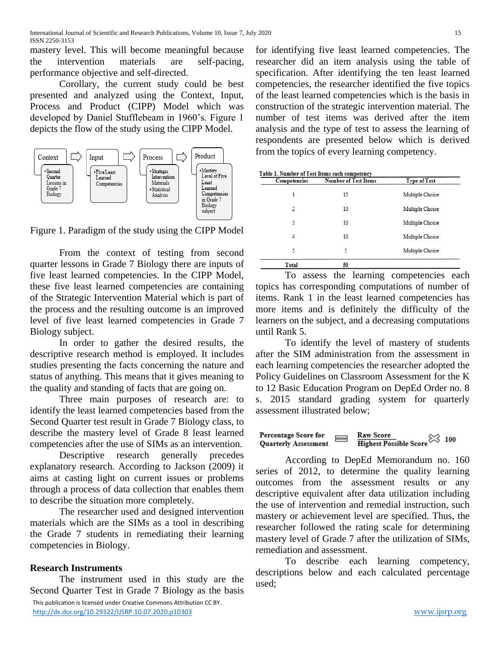mastery level. This will become meaningful because the intervention materials are self-pacing, performance objective and self-directed.

Corollary, the current study could be best presented and analyzed using the Context, Input, Process and Product (CIPP) Model which was developed by Daniel Stufflebeam in 1960's. Figure 1 depicts the flow of the study using the CIPP Model.



Figure 1. Paradigm of the study using the CIPP Model

From the context of testing from second quarter lessons in Grade 7 Biology there are inputs of five least learned competencies. In the CIPP Model, these five least learned competencies are containing of the Strategic Intervention Material which is part of the process and the resulting outcome is an improved level of five least learned competencies in Grade 7 Biology subject.

In order to gather the desired results, the descriptive research method is employed. It includes studies presenting the facts concerning the nature and status of anything. This means that it gives meaning to the quality and standing of facts that are going on.

Three main purposes of research are: to identify the least learned competencies based from the Second Quarter test result in Grade 7 Biology class, to describe the mastery level of Grade 8 least learned competencies after the use of SIMs as an intervention.

Descriptive research generally precedes explanatory research. According to Jackson (2009) it aims at casting light on current issues or problems through a process of data collection that enables them to describe the situation more completely.

The researcher used and designed intervention materials which are the SIMs as a tool in describing the Grade 7 students in remediating their learning competencies in Biology.

# **Research Instruments**

The instrument used in this study are the Second Quarter Test in Grade 7 Biology as the basis for identifying five least learned competencies. The researcher did an item analysis using the table of specification. After identifying the ten least learned competencies, the researcher identified the five topics of the least learned competencies which is the basis in construction of the strategic intervention material. The number of test items was derived after the item analysis and the type of test to assess the learning of respondents are presented below which is derived from the topics of every learning competency.

| Competencies | Number of Test Items | <b>Type of Test</b> |
|--------------|----------------------|---------------------|
| 1            | 15                   | Multiple Choice     |
| 2            | 10                   | Multiple Choice     |
| 3            | 10                   | Multiple Choice     |
| 4            | 10                   | Multiple Choice     |
| 5            | 5                    | Multiple Choice     |
| Total        | 50                   |                     |

To assess the learning competencies each topics has corresponding computations of number of items. Rank 1 in the least learned competencies has more items and is definitely the difficulty of the learners on the subject, and a decreasing computations until Rank 5.

To identify the level of mastery of students after the SIM administration from the assessment in each learning competencies the researcher adopted the Policy Guidelines on Classroom Assessment for the K to 12 Basic Education Program on DepEd Order no. 8 s. 2015 standard grading system for quarterly assessment illustrated below;

$$
\begin{array}{l} \text{Percentage Score for} \\ \text{Quarterly Assessment} \end{array} \Longrightarrow \begin{array}{l} \text{Raw Score} \\ \text{Higher Possible Score} \end{array} \begin{array}{l} \text{Score} \\ \text{Score} \end{array} \begin{array}{c} 100 \\ \text{Sample} \end{array}
$$

According to DepEd Memorandum no. 160 series of 2012, to determine the quality learning outcomes from the assessment results or any descriptive equivalent after data utilization including the use of intervention and remedial instruction, such mastery or achievement level are specified. Thus, the researcher followed the rating scale for determining mastery level of Grade 7 after the utilization of SIMs, remediation and assessment.

To describe each learning competency, descriptions below and each calculated percentage used;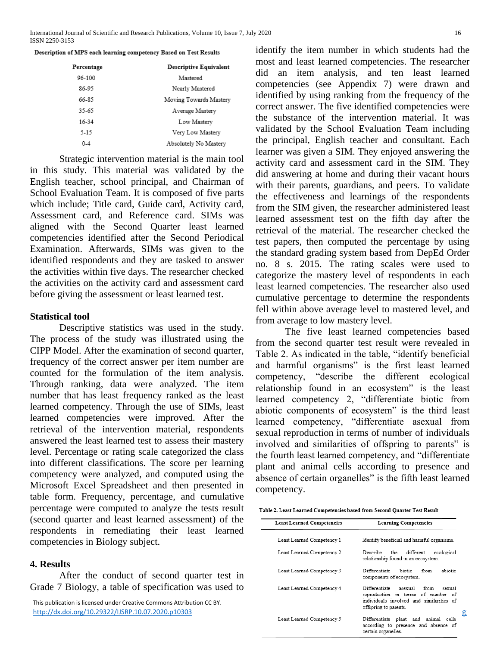| Description of MPS each learning competency Based on Test Results |  |  |
|-------------------------------------------------------------------|--|--|
|                                                                   |  |  |

| Percentage | <b>Descriptive Equivalent</b> |
|------------|-------------------------------|
| 96-100     | Mastered                      |
| 86-95      | Nearly Mastered               |
| 66-85      | Moving Towards Mastery        |
| 35-65      | Average Mastery               |
| 16-34      | Low Mastery                   |
| 5-15       | Very Low Mastery              |
| $0 - 4$    | Absolutely No Mastery         |

Strategic intervention material is the main tool in this study. This material was validated by the English teacher, school principal, and Chairman of School Evaluation Team. It is composed of five parts which include; Title card, Guide card, Activity card, Assessment card, and Reference card. SIMs was aligned with the Second Quarter least learned competencies identified after the Second Periodical Examination. Afterwards, SIMs was given to the identified respondents and they are tasked to answer the activities within five days. The researcher checked the activities on the activity card and assessment card before giving the assessment or least learned test.

#### **Statistical tool**

Descriptive statistics was used in the study. The process of the study was illustrated using the CIPP Model. After the examination of second quarter, frequency of the correct answer per item number are counted for the formulation of the item analysis. Through ranking, data were analyzed. The item number that has least frequency ranked as the least learned competency. Through the use of SIMs, least learned competencies were improved. After the retrieval of the intervention material, respondents answered the least learned test to assess their mastery level. Percentage or rating scale categorized the class into different classifications. The score per learning competency were analyzed, and computed using the Microsoft Excel Spreadsheet and then presented in table form. Frequency, percentage, and cumulative percentage were computed to analyze the tests result (second quarter and least learned assessment) of the respondents in remediating their least learned competencies in Biology subject.

#### **4. Results**

identify the item number in which students had the most and least learned competencies. The researcher did an item analysis, and ten least learned competencies (see Appendix 7) were drawn and identified by using ranking from the frequency of the correct answer. The five identified competencies were the substance of the intervention material. It was validated by the School Evaluation Team including the principal, English teacher and consultant. Each learner was given a SIM. They enjoyed answering the activity card and assessment card in the SIM. They did answering at home and during their vacant hours with their parents, guardians, and peers. To validate the effectiveness and learnings of the respondents from the SIM given, the researcher administered least learned assessment test on the fifth day after the retrieval of the material. The researcher checked the test papers, then computed the percentage by using the standard grading system based from DepEd Order no. 8 s. 2015. The rating scales were used to categorize the mastery level of respondents in each least learned competencies. The researcher also used cumulative percentage to determine the respondents fell within above average level to mastered level, and from average to low mastery level.

The five least learned competencies based from the second quarter test result were revealed in Table 2. As indicated in the table, "identify beneficial and harmful organisms" is the first least learned competency, "describe the different ecological relationship found in an ecosystem" is the least learned competency 2, "differentiate biotic from abiotic components of ecosystem" is the third least learned competency, "differentiate asexual from sexual reproduction in terms of number of individuals involved and similarities of offspring to parents" is the fourth least learned competency, and "differentiate plant and animal cells according to presence and absence of certain organelles" is the fifth least learned competency.

| Table 2. Least Learned Competencies based from Second Quarter Test Result |  |  |
|---------------------------------------------------------------------------|--|--|
|                                                                           |  |  |

| second quarter and least learned assessment) of the                                                                          | <b>Least Learned Competencies</b> | <b>Learning Competencies</b>                                                                           |
|------------------------------------------------------------------------------------------------------------------------------|-----------------------------------|--------------------------------------------------------------------------------------------------------|
| espondents in remediating<br>their<br>least<br>learned<br>competencies in Biology subject.                                   | Least Learned Competency 1        | Identify beneficial and harmful organisms.                                                             |
|                                                                                                                              | Least Learned Competency 2        | different<br>ecological<br>Describe<br>the<br>relationship found in an ecosystem.                      |
| . Results<br>After the conduct of second quarter test in                                                                     | Least Learned Competency 3        | abiotic<br>Differentiate<br>biotic<br>from<br>components of ecosystem.                                 |
| Grade 7 Biology, a table of specification was used to                                                                        | Least Learned Competency 4        | Differentiate<br>asexual<br>from<br>sexual<br>reproduction in terms<br>of<br>number of                 |
| This publication is licensed under Creative Commons Attribution CC BY.<br>http://dx.doi.org/10.29322/IJSRP.10.07.2020.p10303 |                                   | individuals involved and similarities of<br>offspring to parents.<br>g                                 |
|                                                                                                                              | Least Learned Competency 5        | Differentiate plant and<br>animal cells<br>according to presence and absence of<br>cortain organolles. |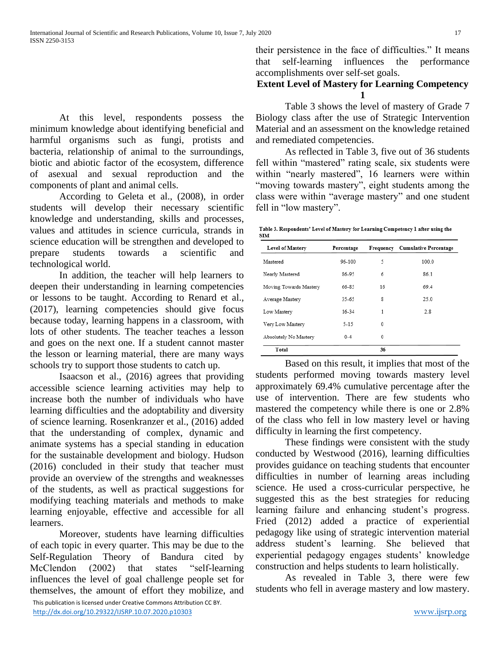At this level, respondents possess the minimum knowledge about identifying beneficial and harmful organisms such as fungi, protists and bacteria, relationship of animal to the surroundings, biotic and abiotic factor of the ecosystem, difference of asexual and sexual reproduction and the components of plant and animal cells.

According to Geleta et al., (2008), in order students will develop their necessary scientific knowledge and understanding, skills and processes, values and attitudes in science curricula, strands in science education will be strengthen and developed to prepare students towards a scientific and technological world.

In addition, the teacher will help learners to deepen their understanding in learning competencies or lessons to be taught. According to Renard et al., (2017), learning competencies should give focus because today, learning happens in a classroom, with lots of other students. The teacher teaches a lesson and goes on the next one. If a student cannot master the lesson or learning material, there are many ways schools try to support those students to catch up.

Isaacson et al., (2016) agrees that providing accessible science learning activities may help to increase both the number of individuals who have learning difficulties and the adoptability and diversity of science learning. Rosenkranzer et al., (2016) added that the understanding of complex, dynamic and animate systems has a special standing in education for the sustainable development and biology. Hudson (2016) concluded in their study that teacher must provide an overview of the strengths and weaknesses of the students, as well as practical suggestions for modifying teaching materials and methods to make learning enjoyable, effective and accessible for all learners.

Moreover, students have learning difficulties of each topic in every quarter. This may be due to the Self-Regulation Theory of Bandura cited by McClendon (2002) that states "self-learning influences the level of goal challenge people set for themselves, the amount of effort they mobilize, and their persistence in the face of difficulties." It means that self-learning influences the performance accomplishments over self-set goals.

## **Extent Level of Mastery for Learning Competency 1**

Table 3 shows the level of mastery of Grade 7 Biology class after the use of Strategic Intervention Material and an assessment on the knowledge retained and remediated competencies.

As reflected in Table 3, five out of 36 students fell within "mastered" rating scale, six students were within "nearly mastered", 16 learners were within "moving towards mastery", eight students among the class were within "average mastery" and one student fell in "low mastery".

Table 3. Respondents' Level of Mastery for Learning Competency 1 after using the **STM** 

| Level of Mastery       | Percentage | Frequency | <b>Cumulative Percentage</b> |
|------------------------|------------|-----------|------------------------------|
| Mastered               | 96-100     | 5         | 100.0                        |
| Nearly Mastered        | 86-95      | 6         | 86.1                         |
| Moving Towards Mastery | 66-85      | 16        | 69.4                         |
| Average Mastery        | 35-65      | 8         | 25.0                         |
| Low Mastery            | 16-34      | 1         | 2.8                          |
| Very Low Mastery       | $5 - 15$   | 0         |                              |
| Absolutely No Mastery  | $0 - 4$    | 0         |                              |
| Total                  |            | 36        |                              |

Based on this result, it implies that most of the students performed moving towards mastery level approximately 69.4% cumulative percentage after the use of intervention. There are few students who mastered the competency while there is one or 2.8% of the class who fell in low mastery level or having difficulty in learning the first competency.

These findings were consistent with the study conducted by Westwood (2016), learning difficulties provides guidance on teaching students that encounter difficulties in number of learning areas including science. He used a cross-curricular perspective, he suggested this as the best strategies for reducing learning failure and enhancing student's progress. Fried (2012) added a practice of experiential pedagogy like using of strategic intervention material address student's learning. She believed that experiential pedagogy engages students' knowledge construction and helps students to learn holistically.

As revealed in Table 3, there were few students who fell in average mastery and low mastery.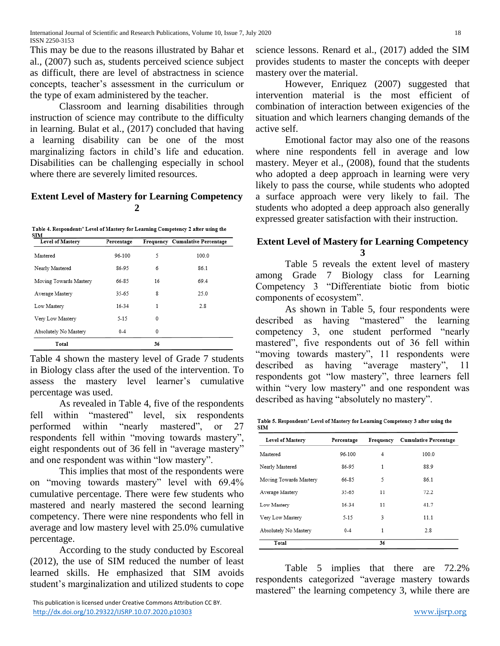This may be due to the reasons illustrated by Bahar et al., (2007) such as, students perceived science subject as difficult, there are level of abstractness in science concepts, teacher's assessment in the curriculum or the type of exam administered by the teacher.

Classroom and learning disabilities through instruction of science may contribute to the difficulty in learning. Bulat et al., (2017) concluded that having a learning disability can be one of the most marginalizing factors in child's life and education. Disabilities can be challenging especially in school where there are severely limited resources.

### **Extent Level of Mastery for Learning Competency 2**

Table 4. Respondents' Level of Mastery for Learning Competency 2 after using the

| <b>Level of Mastery</b> | Percentage |    | Frequency Cumulative Percentage |
|-------------------------|------------|----|---------------------------------|
| Mastered                | 96-100     | 5  | 100.0                           |
| Nearly Mastered         | 86-95      | 6  | 86.1                            |
| Moving Towards Mastery  | 66-85      | 16 | 69.4                            |
| Average Mastery         | 35-65      | 8  | 25.0                            |
| Low Mastery             | 16-34      | 1  | 2.8                             |
| Very Low Mastery        | 5-15       | 0  |                                 |
| Absolutely No Mastery   | $0 - 4$    | 0  |                                 |
| Total                   |            | 36 |                                 |

Table 4 shown the mastery level of Grade 7 students in Biology class after the used of the intervention. To assess the mastery level learner's cumulative percentage was used.

As revealed in Table 4, five of the respondents fell within "mastered" level, six respondents performed within "nearly mastered", or 27 respondents fell within "moving towards mastery", eight respondents out of 36 fell in "average mastery" and one respondent was within "low mastery".

This implies that most of the respondents were on "moving towards mastery" level with 69.4% cumulative percentage. There were few students who mastered and nearly mastered the second learning competency. There were nine respondents who fell in average and low mastery level with 25.0% cumulative percentage.

According to the study conducted by Escoreal (2012), the use of SIM reduced the number of least learned skills. He emphasized that SIM avoids student's marginalization and utilized students to cope science lessons. Renard et al., (2017) added the SIM provides students to master the concepts with deeper mastery over the material.

However, Enriquez (2007) suggested that intervention material is the most efficient of combination of interaction between exigencies of the situation and which learners changing demands of the active self.

Emotional factor may also one of the reasons where nine respondents fell in average and low mastery. Meyer et al., (2008), found that the students who adopted a deep approach in learning were very likely to pass the course, while students who adopted a surface approach were very likely to fail. The students who adopted a deep approach also generally expressed greater satisfaction with their instruction.

## **Extent Level of Mastery for Learning Competency 3**

Table 5 reveals the extent level of mastery among Grade 7 Biology class for Learning Competency 3 "Differentiate biotic from biotic components of ecosystem".

As shown in Table 5, four respondents were described as having "mastered" the learning competency 3, one student performed "nearly mastered", five respondents out of 36 fell within "moving towards mastery", 11 respondents were described as having "average mastery", 11 respondents got "low mastery", three learners fell within "very low mastery" and one respondent was described as having "absolutely no mastery".

Table 5. Respondents' Level of Mastery for Learning Competency 3 after using the **STM** 

| Level of Mastery       | Percentage | Frequency | <b>Cumulative Percentage</b> |
|------------------------|------------|-----------|------------------------------|
| Mastered               | 96-100     | 4         | 100.0                        |
| Nearly Mastered        | 86-95      | 1         | 88.9                         |
| Moving Towards Mastery | 66-85      | 5         | 86.1                         |
| Average Mastery        | 35-65      | 11        | 72.2                         |
| Low Mastery            | 16-34      | 11        | 41.7                         |
| Very Low Mastery       | 5-15       | 3         | 11.1                         |
| Absolutely No Mastery  | $0 - 4$    | 1         | 2.8                          |
| Total                  |            | 36        |                              |

Table 5 implies that there are 72.2% respondents categorized "average mastery towards mastered" the learning competency 3, while there are

This publication is licensed under Creative Commons Attribution CC BY. <http://dx.doi.org/10.29322/IJSRP.10.07.2020.p10303> [www.ijsrp.org](http://ijsrp.org/)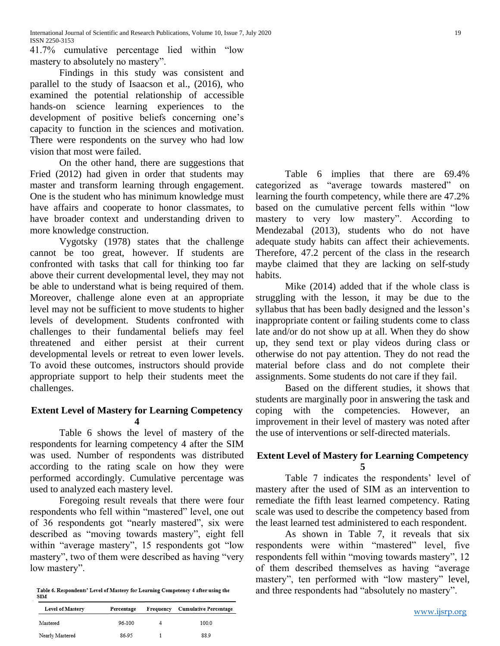41.7% cumulative percentage lied within "low mastery to absolutely no mastery".

Findings in this study was consistent and parallel to the study of Isaacson et al., (2016), who examined the potential relationship of accessible hands-on science learning experiences to the development of positive beliefs concerning one's capacity to function in the sciences and motivation. There were respondents on the survey who had low vision that most were failed.

On the other hand, there are suggestions that Fried (2012) had given in order that students may master and transform learning through engagement. One is the student who has minimum knowledge must have affairs and cooperate to honor classmates, to have broader context and understanding driven to more knowledge construction.

Vygotsky (1978) states that the challenge cannot be too great, however. If students are confronted with tasks that call for thinking too far above their current developmental level, they may not be able to understand what is being required of them. Moreover, challenge alone even at an appropriate level may not be sufficient to move students to higher levels of development. Students confronted with challenges to their fundamental beliefs may feel threatened and either persist at their current developmental levels or retreat to even lower levels. To avoid these outcomes, instructors should provide appropriate support to help their students meet the challenges.

## **Extent Level of Mastery for Learning Competency 4**

Table 6 shows the level of mastery of the respondents for learning competency 4 after the SIM was used. Number of respondents was distributed according to the rating scale on how they were performed accordingly. Cumulative percentage was used to analyzed each mastery level.

Foregoing result reveals that there were four respondents who fell within "mastered" level, one out of 36 respondents got "nearly mastered", six were described as "moving towards mastery", eight fell within "average mastery", 15 respondents got "low mastery", two of them were described as having "very low mastery".

Table 6. Respondents' Level of Mastery for Learning Competency 4 after using the **SIM** 

| Level of Mastery | Percentage | Frequency | <b>Cumulative Percentage</b> |
|------------------|------------|-----------|------------------------------|
| Mastered         | 96-100     |           | 100.0                        |
| Nearly Mastered  | 86-95      |           | 889                          |

Table 6 implies that there are 69.4% categorized as "average towards mastered" on learning the fourth competency, while there are 47.2% based on the cumulative percent fells within "low mastery to very low mastery". According to Mendezabal (2013), students who do not have adequate study habits can affect their achievements. Therefore, 47.2 percent of the class in the research maybe claimed that they are lacking on self-study habits.

Mike (2014) added that if the whole class is struggling with the lesson, it may be due to the syllabus that has been badly designed and the lesson's inappropriate content or failing students come to class late and/or do not show up at all. When they do show up, they send text or play videos during class or otherwise do not pay attention. They do not read the material before class and do not complete their assignments. Some students do not care if they fail.

Based on the different studies, it shows that students are marginally poor in answering the task and coping with the competencies. However, an improvement in their level of mastery was noted after the use of interventions or self-directed materials.

#### **Extent Level of Mastery for Learning Competency 5**

Table 7 indicates the respondents' level of mastery after the used of SIM as an intervention to remediate the fifth least learned competency. Rating scale was used to describe the competency based from the least learned test administered to each respondent.

As shown in Table 7, it reveals that six respondents were within "mastered" level, five respondents fell within "moving towards mastery", 12 of them described themselves as having "average mastery", ten performed with "low mastery" level, and three respondents had "absolutely no mastery".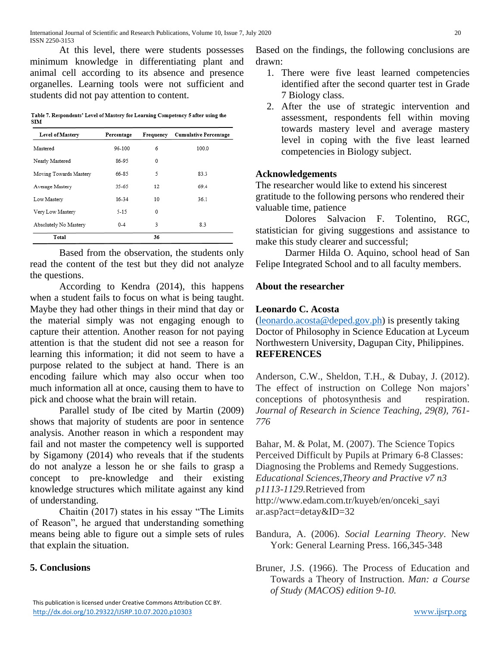At this level, there were students possesses minimum knowledge in differentiating plant and animal cell according to its absence and presence organelles. Learning tools were not sufficient and students did not pay attention to content.

Table 7. Respondents' Level of Mastery for Learning Competency 5 after using the **SIM** 

| Level of Mastery       | Percentage | Frequency    | <b>Cumulative Percentage</b> |
|------------------------|------------|--------------|------------------------------|
| Mastered               | 96-100     | 6            | 100.0                        |
| Nearly Mastered        | 86-95      | 0            |                              |
| Moving Towards Mastery | 66-85      | 5            | 83.3                         |
| Average Mastery        | 35-65      | 12           | 69.4                         |
| Low Mastery            | 16-34      | 10           | 36.1                         |
| Very Low Mastery       | $5 - 15$   | $\mathbf{0}$ |                              |
| Absolutely No Mastery  | $0 - 4$    | 3            | 8.3                          |
| Total                  |            | 36           |                              |

Based from the observation, the students only read the content of the test but they did not analyze the questions.

According to Kendra (2014), this happens when a student fails to focus on what is being taught. Maybe they had other things in their mind that day or the material simply was not engaging enough to capture their attention. Another reason for not paying attention is that the student did not see a reason for learning this information; it did not seem to have a purpose related to the subject at hand. There is an encoding failure which may also occur when too much information all at once, causing them to have to pick and choose what the brain will retain.

Parallel study of Ibe cited by Martin (2009) shows that majority of students are poor in sentence analysis. Another reason in which a respondent may fail and not master the competency well is supported by Sigamony (2014) who reveals that if the students do not analyze a lesson he or she fails to grasp a concept to pre-knowledge and their existing knowledge structures which militate against any kind of understanding.

Chaitin (2017) states in his essay "The Limits of Reason", he argued that understanding something means being able to figure out a simple sets of rules that explain the situation.

# **5. Conclusions**

 This publication is licensed under Creative Commons Attribution CC BY. <http://dx.doi.org/10.29322/IJSRP.10.07.2020.p10303> [www.ijsrp.org](http://ijsrp.org/)

Based on the findings, the following conclusions are drawn:

- 1. There were five least learned competencies identified after the second quarter test in Grade 7 Biology class.
- 2. After the use of strategic intervention and assessment, respondents fell within moving towards mastery level and average mastery level in coping with the five least learned competencies in Biology subject.

## **Acknowledgements**

The researcher would like to extend his sincerest gratitude to the following persons who rendered their valuable time, patience

Dolores Salvacion F. Tolentino, RGC, statistician for giving suggestions and assistance to make this study clearer and successful;

Darmer Hilda O. Aquino, school head of San Felipe Integrated School and to all faculty members.

# **About the researcher**

# **Leonardo C. Acosta**

[\(leonardo.acosta@deped.gov.ph\)](mailto:leonardo.acosta@deped.gov.ph) is presently taking Doctor of Philosophy in Science Education at Lyceum Northwestern University, Dagupan City, Philippines. **REFERENCES**

Anderson, C.W., Sheldon, T.H., & Dubay, J. (2012). The effect of instruction on College Non majors' conceptions of photosynthesis and respiration. *Journal of Research in Science Teaching, 29(8), 761- 776*

Bahar, M. & Polat, M. (2007). The Science Topics Perceived Difficult by Pupils at Primary 6-8 Classes: Diagnosing the Problems and Remedy Suggestions. *Educational Sciences,Theory and Practive v7 n3 p1113-1129.*Retrieved from http://www.edam.com.tr/kuyeb/en/onceki\_sayi ar.asp?act=detay&ID=32

Bandura, A. (2006). *Social Learning Theory*. New York: General Learning Press. 166,345-348

Bruner, J.S. (1966). The Process of Education and Towards a Theory of Instruction. *Man: a Course of Study (MACOS) edition 9-10.*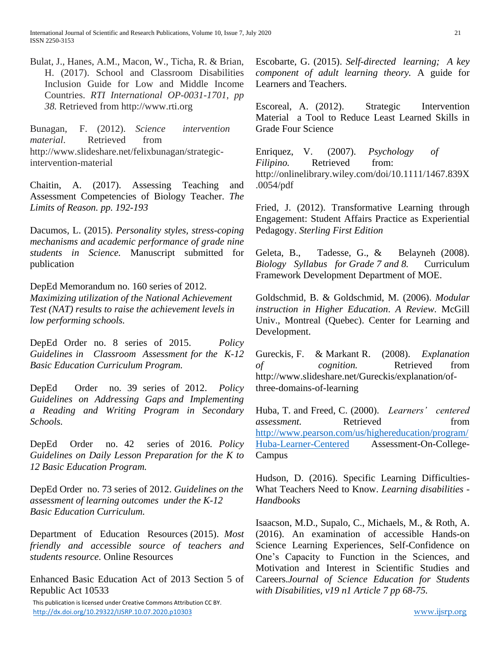Bulat, J., Hanes, A.M., Macon, W., Ticha, R. & Brian, H. (2017). School and Classroom Disabilities Inclusion Guide for Low and Middle Income Countries. *RTI International OP-0031-1701, pp 38.* Retrieved from http://www.rti.org

Bunagan, F. (2012). *Science intervention material*. Retrieved from http://www.slideshare.net/felixbunagan/strategicintervention-material

Chaitin, A. (2017). Assessing Teaching and Assessment Competencies of Biology Teacher. *The Limits of Reason. pp. 192-193*

Dacumos, L. (2015). *Personality styles, stress-coping mechanisms and academic performance of grade nine students in Science.* Manuscript submitted for publication

DepEd Memorandum no. 160 series of 2012. *Maximizing utilization of the National Achievement Test (NAT) results to raise the achievement levels in low performing schools.*

DepEd Order no. 8 series of 2015. *Policy Guidelines in Classroom Assessment for the K-12 Basic Education Curriculum Program.*

DepEd Order no. 39 series of 2012. *Policy Guidelines on Addressing Gaps and Implementing a Reading and Writing Program in Secondary Schools.*

DepEd Order no. 42 series of 2016. *Policy Guidelines on Daily Lesson Preparation for the K to 12 Basic Education Program.*

DepEd Order no. 73 series of 2012. *Guidelines on the assessment of learning outcomes under the K-12 Basic Education Curriculum.*

Department of Education Resources (2015). *Most friendly and accessible source of teachers and students resource.* Online Resources

Enhanced Basic Education Act of 2013 Section 5 of Republic Act 10533

 This publication is licensed under Creative Commons Attribution CC BY. <http://dx.doi.org/10.29322/IJSRP.10.07.2020.p10303> [www.ijsrp.org](http://ijsrp.org/)

Escobarte, G. (2015). *Self-directed learning; A key component of adult learning theory.* A guide for Learners and Teachers.

Escoreal, A. (2012). Strategic Intervention Material a Tool to Reduce Least Learned Skills in Grade Four Science

Enriquez, V. (2007). *Psychology of Filipino.* Retrieved from: [http://onlinelibrary.wiley.com/doi/10.1111/1467.839X](http://onlinelibrary.wiley.com/doi/10.1111/1467.839X.0054/pdf) [.0054/pdf](http://onlinelibrary.wiley.com/doi/10.1111/1467.839X.0054/pdf)

Fried, J. (2012). Transformative Learning through Engagement: Student Affairs Practice as Experiential Pedagogy. *Sterling First Edition*

Geleta, B., Tadesse, G., & Belayneh (2008). *Biology Syllabus for Grade 7 and 8.* Curriculum Framework Development Department of MOE.

Goldschmid, B. & Goldschmid, M. (2006). *Modular instruction in Higher Education*. *A Review*. McGill Univ., Montreal (Quebec). Center for Learning and Development.

Gureckis, F. & Markant R. (2008). *Explanation of cognition.* Retrieved from http://www.slideshare.net/Gureckis/explanation/ofthree-domains-of-learning

Huba, T. and Freed, C. (2000). *Learners' centered assessment.* Retrieved from [http://www.pearson.com/us/highereducation/program/](http://www.pearson.com/us/highereducation/program/Huba-Learner-Centered) [Huba-Learner-Centered](http://www.pearson.com/us/highereducation/program/Huba-Learner-Centered) Assessment-On-College-Campus

Hudson, D. (2016). Specific Learning Difficulties-What Teachers Need to Know. *Learning disabilities - Handbooks*

Isaacson, M.D., Supalo, C., Michaels, M., & Roth, A. (2016). An examination of accessible Hands-on Science Learning Experiences, Self-Confidence on One's Capacity to Function in the Sciences, and Motivation and Interest in Scientific Studies and Careers.*Journal of Science Education for Students with Disabilities, v19 n1 Article 7 pp 68-75.*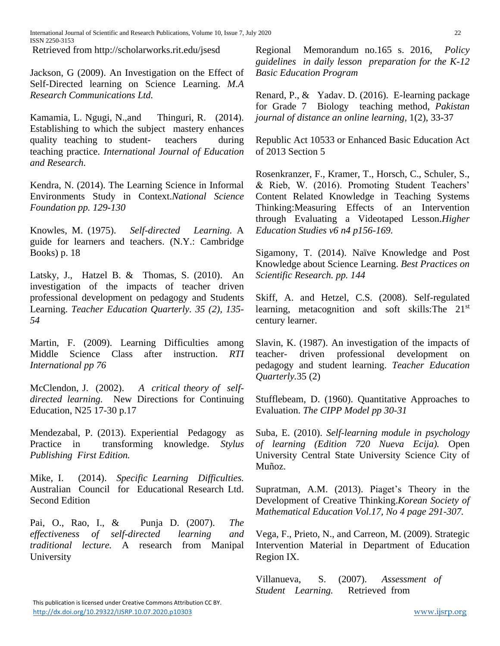International Journal of Scientific and Research Publications, Volume 10, Issue 7, July 2020 220 ISSN 2250-3153

Retrieved from http://scholarworks.rit.edu/jsesd

Jackson, G (2009). An Investigation on the Effect of Self-Directed learning on Science Learning. *M.A Research Communications Ltd.*

Kamamia, L. Ngugi, N.,and Thinguri, R. (2014). Establishing to which the subject mastery enhances quality teaching to student- teachers during teaching practice. *International Journal of Education and Research.*

Kendra, N. (2014). The Learning Science in Informal Environments Study in Context.*National Science Foundation pp. 129-130*

Knowles, M. (1975). *Self-directed Learning.* A guide for learners and teachers. (N.Y.: Cambridge Books) p. 18

Latsky, J., Hatzel B. & Thomas, S. (2010). An investigation of the impacts of teacher driven professional development on pedagogy and Students Learning. *Teacher Education Quarterly. 35 (2), 135- 54*

Martin, F. (2009). Learning Difficulties among Middle Science Class after instruction. *RTI International pp 76*

McClendon, J. (2002). *A critical theory of selfdirected learning.* New Directions for Continuing Education, N25 17-30 p.17

Mendezabal, P. (2013). Experiential Pedagogy as Practice in transforming knowledge. *Stylus Publishing First Edition.*

Mike, I. (2014). *Specific Learning Difficulties.*  Australian Council for Educational Research Ltd. Second Edition

Pai, O., Rao, I., & Punja D. (2007). *The effectiveness of self-directed learning and traditional lecture.* A research from Manipal University

Regional Memorandum no.165 s. 2016, *Policy guidelines in daily lesson preparation for the K-12 Basic Education Program*

Renard, P., & Yadav. D. (2016). E-learning package for Grade 7 Biology teaching method, *Pakistan journal of distance an online learning,* 1(2), 33-37

Republic Act 10533 or Enhanced Basic Education Act of 2013 Section 5

Rosenkranzer, F., Kramer, T., Horsch, C., Schuler, S., & Rieb, W. (2016). Promoting Student Teachers' Content Related Knowledge in Teaching Systems Thinking:Measuring Effects of an Intervention through Evaluating a Videotaped Lesson.*Higher Education Studies v6 n4 p156-169.*

Sigamony, T. (2014). Naïve Knowledge and Post Knowledge about Science Learning. *Best Practices on Scientific Research. pp. 144*

Skiff, A. and Hetzel, C.S. (2008). Self-regulated learning, metacognition and soft skills:The 21st century learner.

Slavin, K. (1987). An investigation of the impacts of teacher- driven professional development on pedagogy and student learning. *Teacher Education Quarterly.*35 (2)

Stufflebeam, D. (1960). Quantitative Approaches to Evaluation. *The CIPP Model pp 30-31*

Suba, E. (2010). *Self-learning module in psychology of learning (Edition 720 Nueva Ecija).* Open University Central State University Science City of Muñoz.

Supratman, A.M. (2013). Piaget's Theory in the Development of Creative Thinking.*Korean Society of Mathematical Education Vol.17, No 4 page 291-307.*

Vega, F., Prieto, N., and Carreon, M. (2009). Strategic Intervention Material in Department of Education Region IX.

Villanueva, S. (2007). *Assessment of Student Learning.* Retrieved from